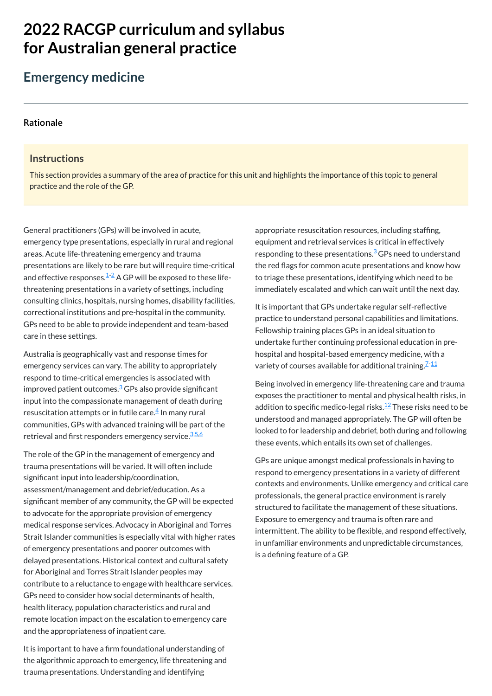# **2022 RACGP curriculum and syllabus for Australian [general practice](https://www.racgp.org.au/Curriculum-and-Syllabus/home)**

# **Emergency medicine**

#### **[Rationale](javascript:void(0))**

#### **Instructions**

This section provides a summary of the area of practice for this unit and highlights the importance of this topic to general practice and the role of the GP.

Australia is geographically vast and response times for emergency services can vary. The ability to appropriately respond to time-critical emergencies is associated with improved patient outcomes.<sup>[3](#page-1-2)</sup> GPs also provide significant input into the compassionate management of death during resuscitation attempts or in futile care. $\frac{4}{ }$  $\frac{4}{ }$  $\frac{4}{ }$  In many rural communities, GPs with advanced training will be part of the retrieval and first responders emergency service.<sup>[3](#page-1-2),[5,](#page-1-4)[6](#page-1-5)</sup>

General practitioners (GPs) will be involved in acute, emergency type presentations, especially in rural and regional areas. Acute life-threatening emergency and trauma presentations are likely to be rare but will require time-critical and effective responses. $^{1\text{-}2}$  $^{1\text{-}2}$  $^{1\text{-}2}$  A GP will be exposed to these lifethreatening presentations in a variety of settings, including consulting clinics, hospitals, nursing homes, disability facilities, correctional institutions and pre-hospital in the community. GPs need to be able to provide independent and team-based care in these settings.

It is important that GPs undertake regular self-reflective practice to understand personal capabilities and limitations. Fellowship training places GPs in an ideal situation to undertake further continuing professional education in prehospital and hospital-based emergency medicine, with a variety of courses available for additional training. $^{\mathcal{I}}$   $^{\mathcal{1}\mathcal{1}}$ 

The role of the GP in the management of emergency and trauma presentations will be varied. It will often include significant input into leadership/coordination, assessment/management and debrief/education. As a significant member of any community, the GP will be expected to advocate for the appropriate provision of emergency medical response services. Advocacy in Aboriginal and Torres Strait Islander communities is especially vital with higher rates of emergency presentations and poorer outcomes with delayed presentations. Historical context and cultural safety for Aboriginal and Torres Strait Islander peoples may contribute to a reluctance to engage with healthcare services. GPs need to consider how social determinants of health, health literacy, population characteristics and rural and remote location impact on the escalation to emergency care and the appropriateness of inpatient care.

It is important to have a firm foundational understanding of the algorithmic approach to emergency, life threatening and trauma presentations. Understanding and identifying

appropriate resuscitation resources, including staffing, equipment and retrieval services is critical in effectively responding to these presentations.<sup>[3](#page-1-2)</sup> GPs need to understand the red flags for common acute presentations and know how to triage these presentations, identifying which need to be immediately escalated and which can wait until the next day.

Being involved in emergency life-threatening care and trauma exposes the practitioner to mental and physical health risks, in addition to specific medico-legal risks.<sup>[12](#page-1-8)</sup> These risks need to be understood and managed appropriately. The GP will often be looked to for leadership and debrief, both during and following these events, which entails its own set of challenges.

GPs are unique amongst medical professionals in having to respond to emergency presentations in a variety of different contexts and environments. Unlike emergency and critical care professionals, the general practice environment is rarely structured to facilitate the management of these situations. Exposure to emergency and trauma is often rare and

intermittent. The ability to be flexible, and respond effectively, in unfamiliar environments and unpredictable circumstances, is a defining feature of a GP.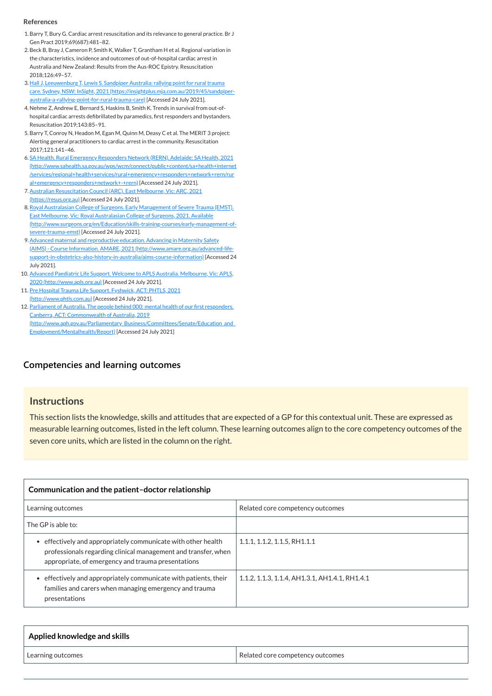### **[Competencies and learning outcomes](javascript:void(0))**

#### **Instructions**

This section lists the knowledge, skills and attitudes that are expected of a GP for this contextual unit. These are expressed as measurable learning outcomes, listed in the left column. These learning outcomes align to the core competency outcomes of the seven core units, which are listed in the column on the right.

| Communication and the patient-doctor relationship                                                                                                                                   |                                                |
|-------------------------------------------------------------------------------------------------------------------------------------------------------------------------------------|------------------------------------------------|
| Learning outcomes                                                                                                                                                                   | Related core competency outcomes               |
| The GP is able to:                                                                                                                                                                  |                                                |
| effectively and appropriately communicate with other health<br>professionals regarding clinical management and transfer, when<br>appropriate, of emergency and trauma presentations | 1.1.1, 1.1.2, 1.1.5, RH1.1.1                   |
| effectively and appropriately communicate with patients, their<br>families and carers when managing emergency and trauma<br>presentations                                           | 1.1.2, 1.1.3, 1.1.4, AH1.3.1, AH1.4.1, RH1.4.1 |

| Applied knowledge and skills |                                  |
|------------------------------|----------------------------------|
| Learning outcomes            | Related core competency outcomes |

#### **References**

- <span id="page-1-0"></span>1.Barry T, Bury G. Cardiac arrest resuscitation and its relevance to general practice. Br J Gen Pract 2019;69(687):481–82.
- <span id="page-1-1"></span>2.Beck B, Bray J, Cameron P, Smith K, Walker T, Grantham H et al. Regional variation in the characteristics, incidence and outcomes of out-of-hospital cardiac arrest in Australia and New Zealand: Results from the Aus-ROC Epistry. Resuscitation 2018;126:49–57.
- <span id="page-1-2"></span>3. Hall J, Leeuwenburg T, Lewis S. Sandpiper Australia: rallying point for rural trauma care. Sydney, NSW: InSight, 2021 [\(https://insightplus.mja.com.au/2019/45/sandpiper](https://insightplus.mja.com.au/2019/45/sandpiper-australia-a-rallying-point-for-rural-trauma-care)australia-a-rallying-point-for-rural-trauma-care) [Accessed 24 July 2021].
- <span id="page-1-3"></span>4. Nehme Z, Andrew E, Bernard S, Haskins B, Smith K. Trends in survival from out-ofhospital cardiac arrests defibrillated by paramedics, first responders and bystanders. Resuscitation 2019;143:85–91.
- <span id="page-1-4"></span>5.Barry T, Conroy N, Headon M, Egan M, Quinn M, Deasy C et al. The MERIT 3 project: Alerting general practitioners to cardiac arrest in the community. Resuscitation 2017;121:141–46.
- <span id="page-1-5"></span>6. SA Health. Rural Emergency Responders Network (RERN). Adelaide: SA Health, 2021 [\(http://www.sahealth.sa.gov.au/wps/wcm/connect/public+content/sa+health+internet](http://www.sahealth.sa.gov.au/wps/wcm/connect/public+content/sa+health+internet/services/regional+health+services/rural+emergency+responders+network+rern/rural+emergency+responders+network+-+rern) /services/regional+health+services/rural+emergency+responders+network+rern/rur al+emergency+responders+network+-+rern) [Accessed 24 July 2021].
- <span id="page-1-6"></span>7. [Australian Resuscitation Council](https://resus.org.au/) (ARC). East Melbourne, Vic: ARC, 2021 (https://resus.org.au) [Accessed 24 July 2021].
- 8. Royal Australasian College of Surgeons. Early Management of Severe Trauma (EMST). East Melbourne, Vic: Royal Australasian College of Surgeons, 2021. Available [\(http://www.surgeons.org/en/Education/skills-training-courses/early-management-of](http://www.surgeons.org/en/Education/skills-training-courses/early-management-of-severe-trauma-emst)severe-trauma-emst) [Accessed 24 July 2021].
- 9.Advanced maternal and reproductive education. Advancing in Maternity Safety (AIMS) - Course Information. AMARE, 2021 (http://www.amare.org.au/advanced-life[support-in-obstetrics-also-history-in-australia/aims-course-information\)](http://www.amare.org.au/advanced-life-support-in-obstetrics-also-history-in-australia/aims-course-information) [Accessed 24 July 2021].
- 10. Advanced Paediatric Life Support. Welcome to APLS Australia. Melbourne, Vic: APLS, 2020 [\(http://www.apls.org.au\)](http://www.apls.org.au/) [Accessed 24 July 2021].
- <span id="page-1-7"></span>11. Pre Hospital Trauma Life Support. Fyshwick, ACT: PHTLS, 2021 [\(http://www.phtls.com.au\)](http://www.phtls.com.au/) [Accessed 24 July 2021].
- <span id="page-1-8"></span>12. Parliament of Australia. The people behind 000: mental health of our first responders. Canberra, ACT: Commonwealth of Australia, 2019 [\(http://www.aph.gov.au/Parliamentary\\_Business/Committees/Senate/Education\\_and\\_](http://www.aph.gov.au/Parliamentary_Business/Committees/Senate/Education_and_Employment/Mentalhealth/Report) Employment/Mentalhealth/Report) [Accessed 24 July 2021]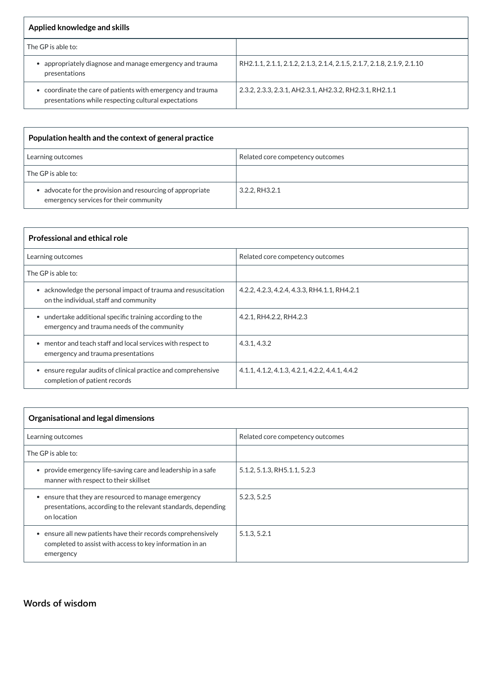| Applied knowledge and skills                                                                                      |                                                                         |
|-------------------------------------------------------------------------------------------------------------------|-------------------------------------------------------------------------|
| The GP is able to:                                                                                                |                                                                         |
| appropriately diagnose and manage emergency and trauma<br>presentations                                           | RH2.1.1, 2.1.1, 2.1.2, 2.1.3, 2.1.4, 2.1.5, 2.1.7, 2.1.8, 2.1.9, 2.1.10 |
| coordinate the care of patients with emergency and trauma<br>presentations while respecting cultural expectations | 2.3.2, 2.3.3, 2.3.1, AH2.3.1, AH2.3.2, RH2.3.1, RH2.1.1                 |

| Population health and the context of general practice                                              |                                  |
|----------------------------------------------------------------------------------------------------|----------------------------------|
| Learning outcomes                                                                                  | Related core competency outcomes |
| The GP is able to:                                                                                 |                                  |
| advocate for the provision and resourcing of appropriate<br>emergency services for their community | 3.2.2, RH3.2.1                   |

| <b>Professional and ethical role</b>                                                                               |                                                 |
|--------------------------------------------------------------------------------------------------------------------|-------------------------------------------------|
| Learning outcomes                                                                                                  | Related core competency outcomes                |
| The GP is able to:                                                                                                 |                                                 |
| acknowledge the personal impact of trauma and resuscitation<br>$\bullet$<br>on the individual, staff and community | 4.2.2, 4.2.3, 4.2.4, 4.3.3, RH4.1.1, RH4.2.1    |
| • undertake additional specific training according to the<br>emergency and trauma needs of the community           | 4.2.1, RH4.2.2, RH4.2.3                         |
| • mentor and teach staff and local services with respect to<br>emergency and trauma presentations                  | 4.3.1, 4.3.2                                    |
| ensure regular audits of clinical practice and comprehensive<br>completion of patient records                      | 4.1.1, 4.1.2, 4.1.3, 4.2.1, 4.2.2, 4.4.1, 4.4.2 |

| Organisational and legal dimensions                                                                                                |                                  |
|------------------------------------------------------------------------------------------------------------------------------------|----------------------------------|
| Learning outcomes                                                                                                                  | Related core competency outcomes |
| The GP is able to:                                                                                                                 |                                  |
| provide emergency life-saving care and leadership in a safe<br>manner with respect to their skillset                               | 5.1.2, 5.1.3, RH5.1.1, 5.2.3     |
| ensure that they are resourced to manage emergency<br>presentations, according to the relevant standards, depending<br>on location | 5.2.3, 5.2.5                     |

| ensure all new patients have their records comprehensively | 5.1.3, 5.2.1 |
|------------------------------------------------------------|--------------|
| completed to assist with access to key information in an   |              |
| emergency                                                  |              |

# **[Words of wisdom](javascript:void(0))**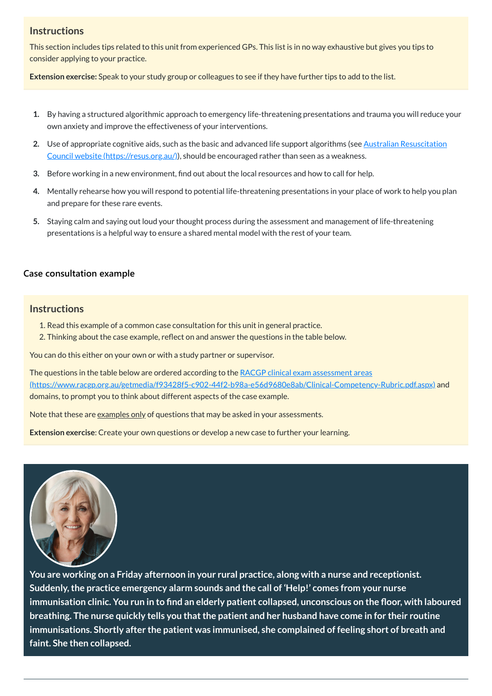# **Instructions**

This section includes tips related to this unit from experienced GPs. This list is in no way exhaustive but gives you tips to consider applying to your practice.

**Extension exercise:** Speak to your study group or colleagues to see if they have further tips to add to the list.

- **1.** By having a structured algorithmic approach to emergency life-threatening presentations and trauma you will reduce your own anxiety and improve the effectiveness of your interventions.
- 2. Use of appropriate cognitive aids, such as the basic and advanced life support algorithms (see **Australian Resuscitation** Council website [\(https://resus.org.au/\)\),](https://resus.org.au/) should be encouraged rather than seen as a weakness.
- **3.** Before working in a new environment, find out about the local resources and how to call for help.
- **4.** Mentally rehearse how you will respond to potential life-threatening presentations in your place of work to help you plan and prepare for these rare events.
- **5.** Staying calm and saying out loud your thought process during the assessment and management of life-threatening presentations is a helpful way to ensure a shared mental model with the rest of your team.

The questions in the table below are ordered according to the RACGP clinical exam assessment areas [\(https://www.racgp.org.au/getmedia/f93428f5-c902-44f2-b98a-e56d9680e8ab/Clinical-Competency-Rubric.pdf.aspx\)](https://www.racgp.org.au/getmedia/f93428f5-c902-44f2-b98a-e56d9680e8ab/Clinical-Competency-Rubric.pdf.aspx) and domains, to prompt you to think about different aspects of the case example.

Note that these are <u>examples only</u> of questions that may be asked in your assessments.

## **[Case consultation example](javascript:void(0))**

## **Instructions**

- 1. Read this example of a common case consultation for this unit in general practice.
- 2. Thinking about the case example, reflect on and answer the questions in the table below.

You can do this either on your own or with a study partner or supervisor.

**Extension exercise**: Create your own questions or develop a new case to further your learning.



**You are working on a Friday afternoon in your rural practice, along with a nurse and receptionist. Suddenly,the practice emergency alarm sounds and the call of 'Help!' comes from your nurse** immunisation clinic. You run in to find an elderly patient collapsed, unconscious on the floor, with laboured **breathing. The nurse quickly tells you thatthe patient and her husband have come in for their routine immunisations. Shortly after the patient was immunised, she complained of feeling short of breath and faint. She then collapsed.**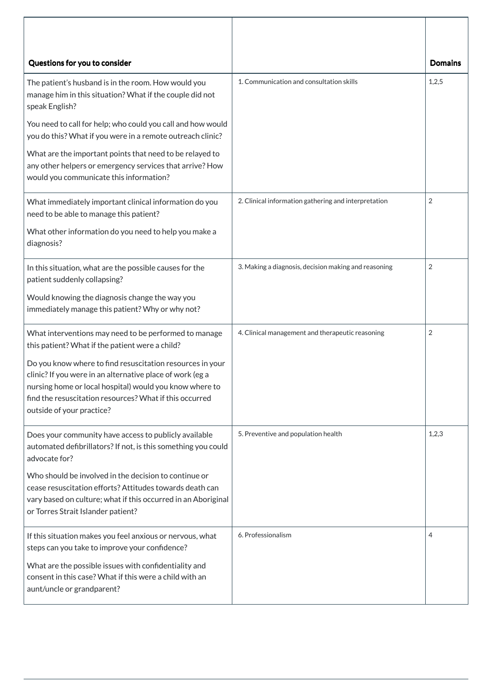| Questions for you to consider                                                                                                                                                                                                                                             |                                                      | <b>Domains</b> |
|---------------------------------------------------------------------------------------------------------------------------------------------------------------------------------------------------------------------------------------------------------------------------|------------------------------------------------------|----------------|
| The patient's husband is in the room. How would you<br>manage him in this situation? What if the couple did not<br>speak English?                                                                                                                                         | 1. Communication and consultation skills             | 1,2,5          |
| You need to call for help; who could you call and how would<br>you do this? What if you were in a remote outreach clinic?                                                                                                                                                 |                                                      |                |
| What are the important points that need to be relayed to<br>any other helpers or emergency services that arrive? How<br>would you communicate this information?                                                                                                           |                                                      |                |
| What immediately important clinical information do you<br>need to be able to manage this patient?                                                                                                                                                                         | 2. Clinical information gathering and interpretation | $\overline{2}$ |
| What other information do you need to help you make a<br>diagnosis?                                                                                                                                                                                                       |                                                      |                |
| In this situation, what are the possible causes for the<br>patient suddenly collapsing?                                                                                                                                                                                   | 3. Making a diagnosis, decision making and reasoning | $\overline{2}$ |
| Would knowing the diagnosis change the way you<br>immediately manage this patient? Why or why not?                                                                                                                                                                        |                                                      |                |
| What interventions may need to be performed to manage<br>this patient? What if the patient were a child?                                                                                                                                                                  | 4. Clinical management and therapeutic reasoning     | $\overline{2}$ |
| Do you know where to find resuscitation resources in your<br>clinic? If you were in an alternative place of work (eg a<br>nursing home or local hospital) would you know where to<br>find the resuscitation resources? What if this occurred<br>outside of your practice? |                                                      |                |
| Does your community have access to publicly available<br>automated defibrillators? If not, is this something you could<br>advocate for?                                                                                                                                   | 5. Preventive and population health                  | 1,2,3          |
| Who should be involved in the decision to continue or<br>cease resuscitation efforts? Attitudes towards death can<br>vary based on culture; what if this occurred in an Aboriginal<br>or Torres Strait Islander patient?                                                  |                                                      |                |
| If this situation makes you feel anxious or nervous, what<br>steps can you take to improve your confidence?                                                                                                                                                               | 6. Professionalism                                   | 4              |
| What are the possible issues with confidentiality and<br>consent in this case? What if this were a child with an<br>aunt/uncle or grandparent?                                                                                                                            |                                                      |                |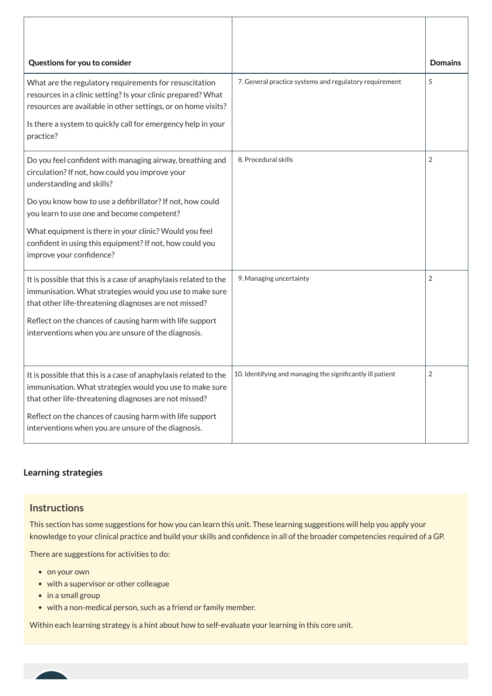| Questions for you to consider                                                                                                                                                                                                                                        |                                                            | <b>Domains</b> |
|----------------------------------------------------------------------------------------------------------------------------------------------------------------------------------------------------------------------------------------------------------------------|------------------------------------------------------------|----------------|
| What are the regulatory requirements for resuscitation<br>resources in a clinic setting? Is your clinic prepared? What<br>resources are available in other settings, or on home visits?<br>Is there a system to quickly call for emergency help in your<br>practice? | 7. General practice systems and regulatory requirement     | 5              |
| Do you feel confident with managing airway, breathing and<br>circulation? If not, how could you improve your<br>understanding and skills?                                                                                                                            | 8. Procedural skills                                       | 2              |
| Do you know how to use a defibrillator? If not, how could<br>you learn to use one and become competent?                                                                                                                                                              |                                                            |                |
| What equipment is there in your clinic? Would you feel<br>confident in using this equipment? If not, how could you<br>improve your confidence?                                                                                                                       |                                                            |                |
| It is possible that this is a case of anaphylaxis related to the<br>immunisation. What strategies would you use to make sure<br>that other life-threatening diagnoses are not missed?                                                                                | 9. Managing uncertainty                                    | 2              |
| Reflect on the chances of causing harm with life support<br>interventions when you are unsure of the diagnosis.                                                                                                                                                      |                                                            |                |
| It is possible that this is a case of anaphylaxis related to the<br>immunisation. What strategies would you use to make sure<br>that other life-threatening diagnoses are not missed?                                                                                | 10. Identifying and managing the significantly ill patient | $\overline{2}$ |
| Reflect on the chances of causing harm with life support<br>interventions when you are unsure of the diagnosis.                                                                                                                                                      |                                                            |                |

- on your own
- with a supervisor or other colleague
- $\bullet$  in a small group
- with a non-medical person, such as a friend or family member.

# **[Learning strategies](javascript:void(0))**

### **Instructions**

This section has some suggestions for how you can learn this unit. These learning suggestions will help you apply your knowledge to your clinical practice and build your skills and confidence in all of the broader competencies required of a GP.

There are suggestions for activities to do:

Within each learning strategy is a hint about how to self-evaluate your learning in this core unit.

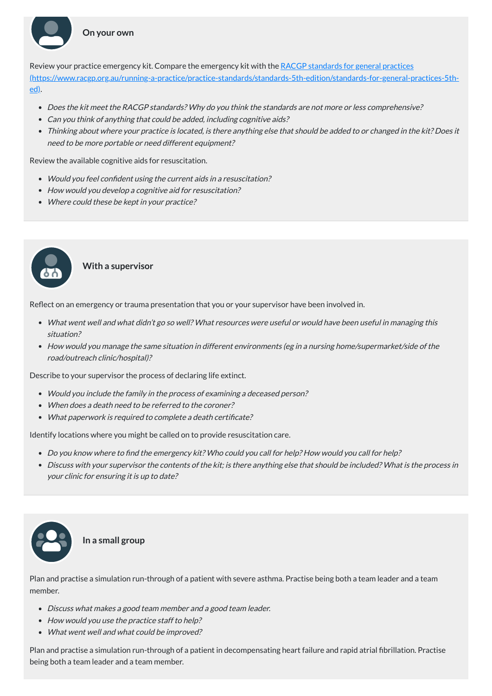Review your practice emergency kit. Compare the emergency kit with the RACGP standards for general practices [\(https://www.racgp.org.au/running-a-practice/practice-standards/standards-5th-edition/standards-for-general-practices-5th](https://www.racgp.org.au/running-a-practice/practice-standards/standards-5th-edition/standards-for-general-practices-5th-ed)ed).

- Would you feel confident using the current aids in <sup>a</sup> resuscitation?
- How would you develop a cognitive aid for resuscitation?
- Where could these be kept in your practice?
- Does the kit meet the RACGP standards? Why do you think the standards are not more or less comprehensive?
- Can you think of anything that could be added, including cognitive aids?
- Thinking about where your practice is located, is there anything else that should be added to or changed in the kit? Does it need to be more portable or need different equipment?

Review the available cognitive aids for resuscitation.

- Would you include the family in the process of examining <sup>a</sup> deceased person?
- When does a death need to be referred to the coroner?
- What paperwork is required to complete a death certificate?

**With a supervisor**

Reflect on an emergency or trauma presentation that you or your supervisor have been involved in.

- What went well and what didn't go so well? What resources were useful or would have been useful in managing this situation?
- How would you manage the same situation in different environments (eg in <sup>a</sup> nursing home/supermarket/side of the road/outreach clinic/hospital)?

Describe to your supervisor the process of declaring life extinct.

Identify locations where you might be called on to provide resuscitation care.

- Do you know where to find the emergency kit? Who could you call for help? How would you call for help?
- Discuss with your supervisor the contents of the kit; is there anything else that should be included? What is the process in your clinic for ensuring it is up to date?





Plan and practise a simulation run-through of a patient with severe asthma. Practise being both a team leader and a team member.

- Discuss what makes <sup>a</sup> good team member and <sup>a</sup> good team leader.
- How would you use the practice staff to help?
- What went well and what could be improved?

Plan and practise a simulation run-through of a patient in decompensating heart failure and rapid atrial fibrillation. Practise being both a team leader and a team member.



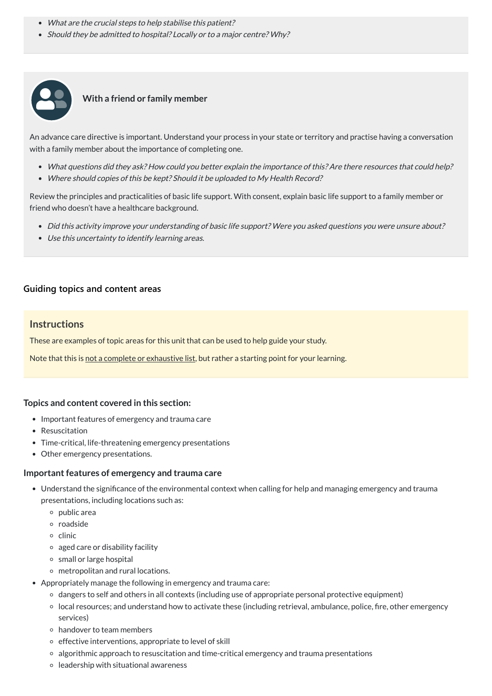- What are the crucial steps to help stabilise this patient?
- Should they be admitted to hospital? Locally or to a major centre? Why?



## **With a friend or family member**

- What questions did they ask? How could you better explain the importance of this? Are there resources that could help?
- Where should copies of this be kept? Should it be uploaded to My Health Record?

An advance care directive is important. Understand your process in your state or territory and practise having a conversation with a family member about the importance of completing one.

Review the principles and practicalities of basic life support. With consent, explain basic life support to a family member or friend who doesn't have a healthcare background.

- Understand the significance of the environmental context when calling for help and managing emergency and trauma presentations, including locations such as:
	- $\circ$  public area
	- roadside
	-
	- $\circ$  clinic
	- aged care or disability facility
	- o small or large hospital
	- o metropolitan and rural locations.
- Appropriately manage the following in emergency and trauma care:
	- dangers to self and others in all contexts (including use of appropriate personal protective equipment)
	- local resources; and understand how to activate these (including retrieval, ambulance, police, fire, other emergency services)
	- handover to team members
	- $\circ$  effective interventions, appropriate to level of skill
	- algorithmic approach to resuscitation and time-critical emergency and trauma presentations
	- $\circ$  leadership with situational awareness
- Did this activity improve your understanding of basic life support? Were you asked questions you were unsure about?
- Use this uncertainty to identify learning areas.

### **[Guiding topics and content areas](javascript:void(0))**

#### **Instructions**

These are examples of topic areas for this unit that can be used to help guide your study.

Note that this is not a complete or exhaustive list, but rather a starting point for your learning.

#### **Topics and content covered in this section:**

- Important features of emergency and trauma care
- Resuscitation
- Time-critical, life-threatening emergency presentations
- Other emergency presentations.

#### **limportant features of emergency and trauma care**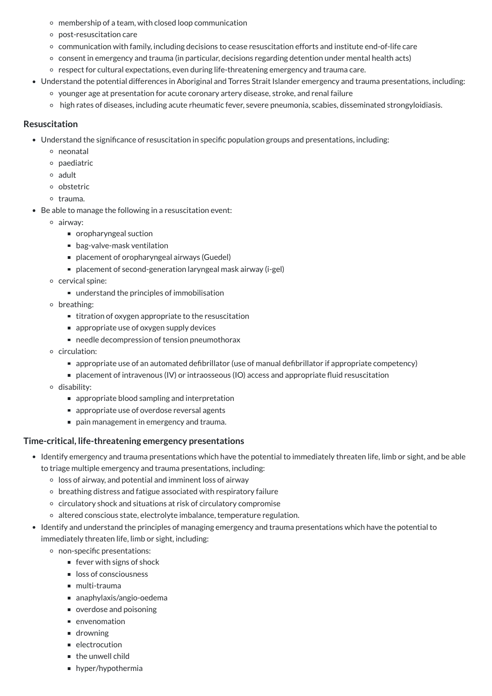- membership of a team, with closed loop communication
- post-resuscitation care
- communication with family, including decisions to cease resuscitation efforts and institute end-of-life care
- consent in emergency and trauma (in particular, decisions regarding detention under mental health acts)
- o respect for cultural expectations, even during life-threatening emergency and trauma care.
- Understand the potential differences in Aboriginal and Torres Strait Islander emergency and trauma presentations, including:
	- younger age at presentation for acute coronary artery disease, stroke, and renal failure
	- high rates of diseases, including acute rheumatic fever, severe pneumonia, scabies, disseminated strongyloidiasis.

- Understand the significance of resuscitation in specific population groups and presentations, including:
	- neonatal
	- $\circ$  paediatric
	- adult
	- obstetric
	- o trauma.
- Be able to manage the following in a resuscitation event:
	- airway:
		- oropharyngeal suction
		- bag-valve-mask ventilation
		- placement of oropharyngeal airways (Guedel)
		- placement of second-generation laryngeal mask airway (i-gel)
	- cervical spine:
		- understand the principles of immobilisation
	- o breathing:
		- $\blacksquare$  titration of oxygen appropriate to the resuscitation
		- $\blacksquare$  appropriate use of oxygen supply devices
		- needle decompression of tension pneumothorax
	- circulation:
		- appropriate use of an automated defibrillator (use of manual defibrillator if appropriate competency)
		- placement of intravenous (IV) or intraosseous (IO) access and appropriate fluid resuscitation
	- disability:
		- appropriate blood sampling and interpretation
		- **E** appropriate use of overdose reversal agents
		- pain management in emergency and trauma.

#### **Resuscitation**

### **Time-critical, life-threatening emergency presentations**

- Identify emergency and trauma presentations which have the potential to immediately threaten life, limb or sight, and be able to triage multiple emergency and trauma presentations, including:
	- $\circ$  loss of airway, and potential and imminent loss of airway
	- $\circ$  breathing distress and fatigue associated with respiratory failure
	- circulatory shock and situations at risk of circulatory compromise
	- o altered conscious state, electrolyte imbalance, temperature regulation.
- $\bullet$  Identify and understand the principles of managing emergency and trauma presentations which have the potential to immediately threaten life, limb or sight, including:
	- non-specific presentations:
		- $\blacksquare$  fever with signs of shock
		- loss of consciousness
		- multi-trauma
		- anaphylaxis/angio-oedema
		- verdose and poisoning
		- **n** envenomation
		- **drowning**
		- **electrocution**
		- $\blacksquare$  the unwell child
		- **hyper/hypothermia**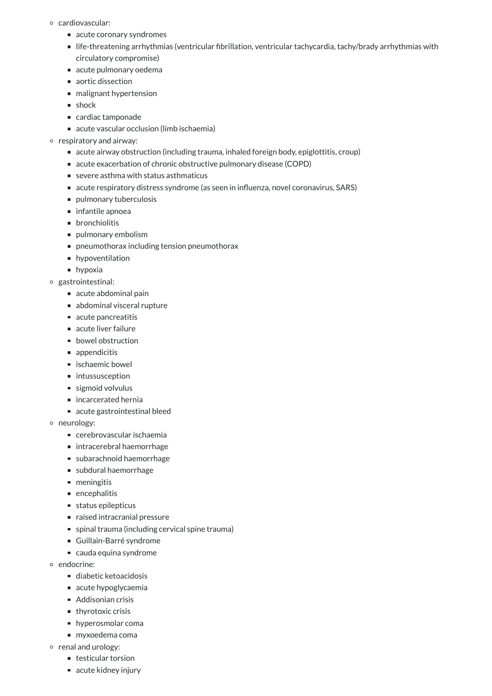- cardiovascular:
	- acute coronary syndromes
	- life-threatening arrhythmias (ventricular fibrillation, ventricular tachycardia, tachy/brady arrhythmias with circulatory compromise)
	- acute pulmonary oedema
	- aortic dissection
	- malignant hypertension
	- **shock**
	- cardiac tamponade
	- acute vascular occlusion (limb ischaemia)

#### $\circ$  respiratory and airway:

- acute airway obstruction (including trauma, inhaled foreign body, epiglottitis, croup)
- acute exacerbation of chronic obstructive pulmonary disease (COPD)
- severe asthma with status asthmaticus
- acute respiratory distress syndrome (as seen in influenza, novel coronavirus, SARS)
- pulmonary tuberculosis
- $\blacksquare$  infantile apnoea
- **n** bronchiolitis
- pulmonary embolism
- pneumothorax including tension pneumothorax
- **n** hypoventilation
- **hypoxia**
- gastrointestinal:
	- acute abdominal pain
	- abdominal visceral rupture
	- acute pancreatitis
	- acute liver failure
	- **bowel obstruction**
	- **appendicitis**
	- $\blacksquare$  ischaemic bowel
	- intussusception
	- sigmoid volvulus
	- incarcerated hernia
	- acute gastrointestinal bleed
- o neurology:
	- cerebrovascular ischaemia
	- intracerebral haemorrhage
	- subarachnoid haemorrhage
	- subdural haemorrhage
	- **meningitis**
	- **n** encephalitis
	- status epilepticus
	- naised intracranial pressure
	- spinal trauma (including cervical spine trauma)
	- Guillain-Barré syndrome
	- cauda equina syndrome
- o endocrine:
	- diabetic ketoacidosis
	- acute hypoglycaemia
	- Addisonian crisis
	- $\blacksquare$  thyrotoxic crisis
	- **hyperosmolar coma**
	- myxoedema coma
- o renal and urology:
	- testicular torsion
	- acute kidney injury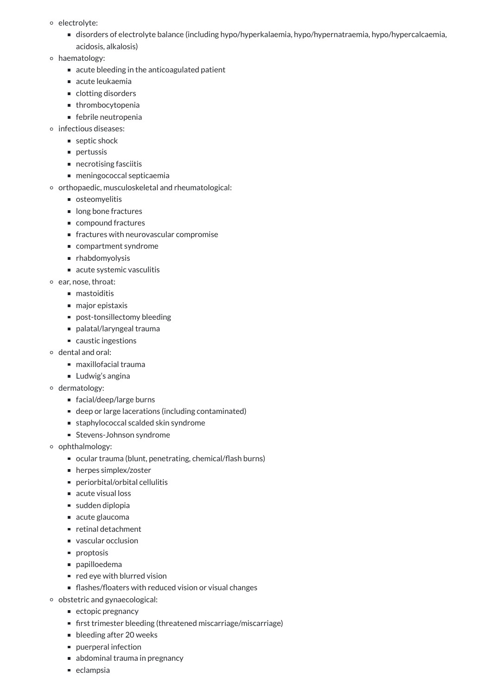- electrolyte:
	- disorders of electrolyte balance (including hypo/hyperkalaemia, hypo/hypernatraemia, hypo/hypercalcaemia, acidosis, alkalosis)
- haematology:
	- acute bleeding in the anticoagulated patient
	- $\blacksquare$  acute leukaemia
	- clotting disorders
	- **thrombocytopenia**
	- febrile neutropenia
- o infectious diseases:
	- septic shock
	- **pertussis**
	- $\blacksquare$  necrotising fasciitis
	- meningococcal septicaemia
- $\circ$  orthopaedic, musculoskeletal and rheumatological:
	- osteomyelitis
	- long bone fractures
	- compound fractures
	- fractures with neurovascular compromise
	- compartment syndrome
	- **n** rhabdomyolysis
	- acute systemic vasculitis
- ear, nose, throat:
	- mastoiditis
	- major epistaxis
	- post-tonsillectomy bleeding
	- palatal/laryngeal trauma
	- caustic ingestions
- dental and oral:
	- maxillofacial trauma
	- **Ludwig's angina**
- dermatology:
	- facial/deep/large burns
	- deep or large lacerations (including contaminated)
	- staphylococcal scalded skin syndrome
	- **Stevens-Johnson syndrome**
- o ophthalmology:
	- ocular trauma (blunt, penetrating, chemical/flash burns)
	- herpes simplex/zoster
	- periorbital/orbital cellulitis
	- acute visual loss
	- sudden diplopia
	- acute glaucoma
	- retinal detachment
	- vascular occlusion
	- **proptosis**
	- papilloedema
	- $\blacksquare$  red eye with blurred vision
	- flashes/floaters with reduced vision or visual changes
- obstetric and gynaecological:
	- $\blacksquare$  ectopic pregnancy
	- first trimester bleeding (threatened miscarriage/miscarriage)
	- **bleeding after 20 weeks**
	- **puerperal infection**
	- abdominal trauma in pregnancy
	- eclampsia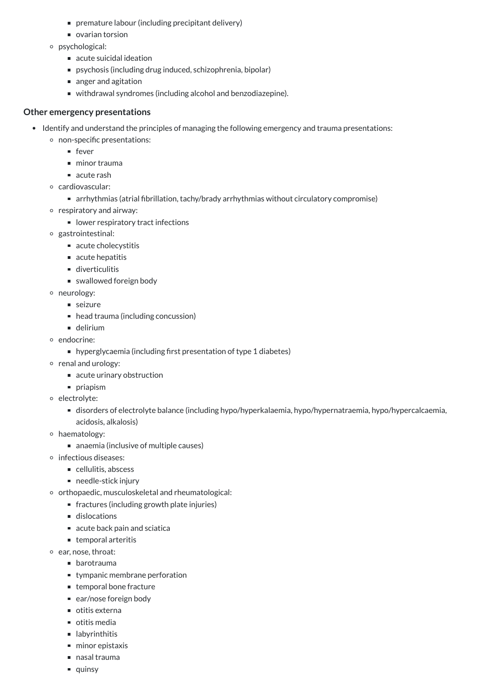- premature labour (including precipitant delivery)
- ovarian torsion
- psychological:
	- acute suicidal ideation
	- psychosis (including drug induced, schizophrenia, bipolar)
	- anger and agitation
	- withdrawal syndromes (including alcohol and benzodiazepine).

## **Other emergency presentations**

- Identify and understand the principles of managing the following emergency and trauma presentations:
	- non-specific presentations:
		- $\blacksquare$  fever
		- $\blacksquare$  minor trauma
		- acute rash
	- cardiovascular:
		- arrhythmias (atrial fibrillation, tachy/brady arrhythmias without circulatory compromise)
	- $\circ$  respiratory and airway:
		- lower respiratory tract infections
	- gastrointestinal:
		- acute cholecystitis
		- $\blacksquare$  acute hepatitis
		- diverticulitis
		- swallowed foreign body
	- o neurology:
		- seizure
		- head trauma (including concussion)
		- **delirium**
	- endocrine:
		- hyperglycaemia (including first presentation of type 1 diabetes)
	- o renal and urology:
		- acute urinary obstruction
		- **priapism**
	- o electrolyte:
		- disorders of electrolyte balance (including hypo/hyperkalaemia, hypo/hypernatraemia, hypo/hypercalcaemia, acidosis, alkalosis)
	- haematology:
		- anaemia (inclusive of multiple causes)
	- o infectious diseases:
		- cellulitis, abscess
		- $\blacksquare$  needle-stick injury
	- o orthopaedic, musculoskeletal and rheumatological:
		- fractures (including growth plate injuries)
		- dislocations
		-
		- $\blacksquare$  acute back pain and sciatica
		- $\blacksquare$  temporal arteritis
	- ear, nose, throat:
		- **•** barotrauma
		- **u** tympanic membrane perforation
		- temporal bone fracture
		- $\blacksquare$  ear/nose foreign body
		- otitis externa
		- otitis media
		- **I** labyrinthitis
		- minor epistaxis
		- nasal trauma
		- quinsy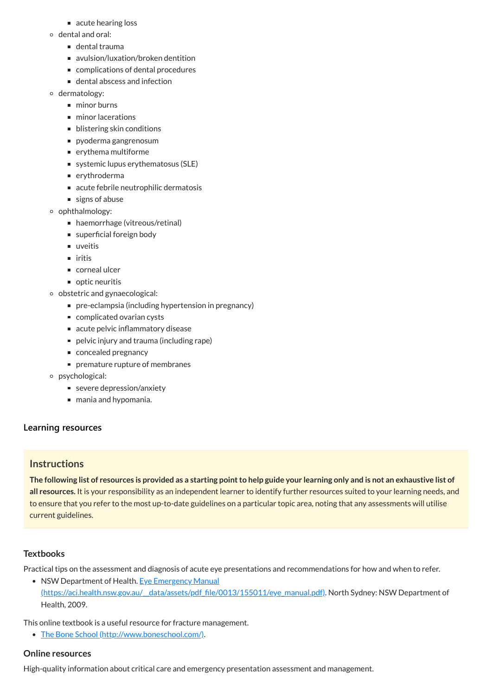The following list of resources is provided as a starting point to help guide your learning only and is not an exhaustive list of **all resources.** It is your responsibility as an independent learner to identify further resources suited to your learning needs, and to ensure that you refer to the most up-to-date guidelines on a particular topic area, noting that any assessments will utilise current guidelines.

- acute hearing loss
- dental and oral:
	- dental trauma
	- avulsion/luxation/broken dentition
	- complications of dental procedures
	- dental abscess and infection
- o dermatology:
	- minor burns
	- minor lacerations
	- **blistering skin conditions**
	- pyoderma gangrenosum
	- $\blacksquare$  erythema multiforme
	- systemic lupus erythematosus (SLE)
	- erythroderma
	- acute febrile neutrophilic dermatosis
	- signs of abuse
- ophthalmology:
	- haemorrhage (vitreous/retinal)
	- superficial foreign body
	- uveitis
	- $\blacksquare$  iritis
	- corneal ulcer
	- $\blacksquare$  optic neuritis
- obstetric and gynaecological:
	- pre-eclampsia (including hypertension in pregnancy)
	- complicated ovarian cysts
	- acute pelvic inflammatory disease
	- pelvic injury and trauma (including rape)
	- concealed pregnancy
	- **PEDITE:** premature rupture of membranes
- psychological:
	- severe depression/anxiety
	- mania and hypomania.

## **[Learning resources](javascript:void(0))**

# **Instructions**

#### **Textbooks**

Practical tips on the assessment and diagnosis of acute eye presentations and recommendations for how and when to refer.

• NSW Department of Health. Eye Emergency Manual

[\(https://aci.health.nsw.gov.au/\\_\\_data/assets/pdf\\_file/0013/155011/eye\\_manual.pdf\)](https://aci.health.nsw.gov.au/__data/assets/pdf_file/0013/155011/eye_manual.pdf). North Sydney: NSW Department of Health, 2009.

This online textbook is a useful resource for fracture management.

• The Bone School [\(http://www.boneschool.com/\)](http://www.boneschool.com/).

**Online resources**

High-quality information about critical care and emergency presentation assessment and management.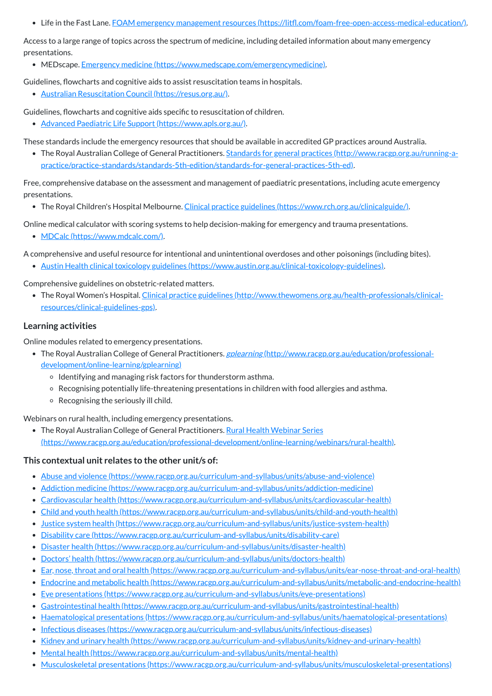Life in the Fast Lane. FOAM emergency management resources [\(https://litfl.com/foam-free-open-access-medical-education/\)](https://litfl.com/foam-free-open-access-medical-education/).

Access to a large range of topics across the spectrum of medicine, including detailed information about many emergency presentations.

MEDscape. Emergency medicine [\(https://www.medscape.com/emergencymedicine\)](https://www.medscape.com/emergencymedicine).

Guidelines, flowcharts and cognitive aids to assist resuscitation teams in hospitals.

Australian Resuscitation Council [\(https://resus.org.au/\).](https://resus.org.au/)

• The Royal Australian College of General Practitioners. Standards for general practices (http://www.racgp.org.au/running-a[practice/practice-standards/standards-5th-edition/standards-for-general-practices-5th-ed\).](http://www.racgp.org.au/running-a-practice/practice-standards/standards-5th-edition/standards-for-general-practices-5th-ed)

Guidelines, flowcharts and cognitive aids specific to resuscitation of children.

Advanced Paediatric Life Support [\(https://www.apls.org.au/\).](https://www.apls.org.au/)

These standards include the emergency resources that should be available in accredited GP practices around Australia.

Free, comprehensive database on the assessment and management of paediatric presentations, including acute emergency presentations.

• The Royal Children's Hospital Melbourne. Clinical practice guidelines [\(https://www.rch.org.au/clinicalguide/\).](https://www.rch.org.au/clinicalguide/)

• The Royal Australian College of General Practitioners. Rural Health Webinar Series [\(https://www.racgp.org.au/education/professional-development/online-learning/webinars/rural-health\)](https://www.racgp.org.au/education/professional-development/online-learning/webinars/rural-health).

Online medical calculator with scoring systems to help decision-making for emergency and trauma presentations.

- Abuse and violence [\(https://www.racgp.org.au/curriculum-and-syllabus/units/abuse-and-violence\)](https://www.racgp.org.au/curriculum-and-syllabus/units/abuse-and-violence)
- Addiction medicine [\(https://www.racgp.org.au/curriculum-and-syllabus/units/addiction-medicine\)](https://www.racgp.org.au/curriculum-and-syllabus/units/addiction-medicine)
- Cardiovascular health [\(https://www.racgp.org.au/curriculum-and-syllabus/units/cardiovascular-health\)](https://www.racgp.org.au/curriculum-and-syllabus/units/cardiovascular-health)
- Child and youth health [\(https://www.racgp.org.au/curriculum-and-syllabus/units/child-and-youth-health\)](https://www.racgp.org.au/curriculum-and-syllabus/units/child-and-youth-health)
- $\bullet$  Justice system health [\(https://www.racgp.org.au/curriculum-and-syllabus/units/justice-system-health\)](https://www.racgp.org.au/curriculum-and-syllabus/units/justice-system-health)
- Disability care [\(https://www.racgp.org.au/curriculum-and-syllabus/units/disability-care\)](https://www.racgp.org.au/curriculum-and-syllabus/units/disability-care)
- Disaster health [\(https://www.racgp.org.au/curriculum-and-syllabus/units/disaster-health\)](https://www.racgp.org.au/curriculum-and-syllabus/units/disaster-health)
- Doctors' health [\(https://www.racgp.org.au/curriculum-and-syllabus/units/doctors-health\)](https://www.racgp.org.au/curriculum-and-syllabus/units/doctors-health)  $\bullet$
- Ear, nose, throat and oral health [\(https://www.racgp.org.au/curriculum-and-syllabus/units/ear-nose-throat-and-oral-health\)](https://www.racgp.org.au/curriculum-and-syllabus/units/ear-nose-throat-and-oral-health)
- Endocrine and metabolic health [\(https://www.racgp.org.au/curriculum-and-syllabus/units/metabolic-and-endocrine-health\)](https://www.racgp.org.au/curriculum-and-syllabus/units/metabolic-and-endocrine-health)
- Eye presentations [\(https://www.racgp.org.au/curriculum-and-syllabus/units/eye-presentations\)](https://www.racgp.org.au/curriculum-and-syllabus/units/eye-presentations)  $\bullet$
- Gastrointestinal health [\(https://www.racgp.org.au/curriculum-and-syllabus/units/gastrointestinal-health\)](https://www.racgp.org.au/curriculum-and-syllabus/units/gastrointestinal-health)  $\bullet$
- Haematological presentations [\(https://www.racgp.org.au/curriculum-and-syllabus/units/haematological-presentations\)](https://www.racgp.org.au/curriculum-and-syllabus/units/haematological-presentations)
- Infectious diseases [\(https://www.racgp.org.au/curriculum-and-syllabus/units/infectious-diseases\)](https://www.racgp.org.au/curriculum-and-syllabus/units/infectious-diseases)  $\bullet$
- Kidney and urinary health [\(https://www.racgp.org.au/curriculum-and-syllabus/units/kidney-and-urinary-health\)](https://www.racgp.org.au/curriculum-and-syllabus/units/kidney-and-urinary-health)
- Mental health [\(https://www.racgp.org.au/curriculum-and-syllabus/units/mental-health\)](https://www.racgp.org.au/curriculum-and-syllabus/units/mental-health)
- Musculoskeletal presentations [\(https://www.racgp.org.au/curriculum-and-syllabus/units/musculoskeletal-presentations\)](https://www.racgp.org.au/curriculum-and-syllabus/units/musculoskeletal-presentations) $\bullet$

MDCalc [\(https://www.mdcalc.com/\).](https://www.mdcalc.com/)

A comprehensive and useful resource for intentional and unintentional overdoses and other poisonings (including bites).

Austin Health clinical toxicology guidelines [\(https://www.austin.org.au/clinical-toxicology-guidelines\).](https://www.austin.org.au/clinical-toxicology-guidelines)

Comprehensive guidelines on obstetric-related matters.

The Royal Women's Hospital. Clinical practice guidelines [\(http://www.thewomens.org.au/health-professionals/clinical](http://www.thewomens.org.au/health-professionals/clinical-resources/clinical-guidelines-gps)resources/clinical-guidelines-gps).

### **Learning activities**

Online modules related to emergency presentations.

- The Royal Australian College of General Practitioners. gplearning [\(http://www.racgp.org.au/education/professional](http://www.racgp.org.au/education/professional-development/online-learning/gplearning)development/online-learning/gplearning)
	- $\circ$  Identifying and managing risk factors for thunderstorm asthma.
	- Recognising potentially life-threatening presentations in children with food allergies and asthma.
	- $\circ$  Recognising the seriously ill child.

Webinars on rural health, including emergency presentations.

### **This contextual unit relates to the other unit/s of:**